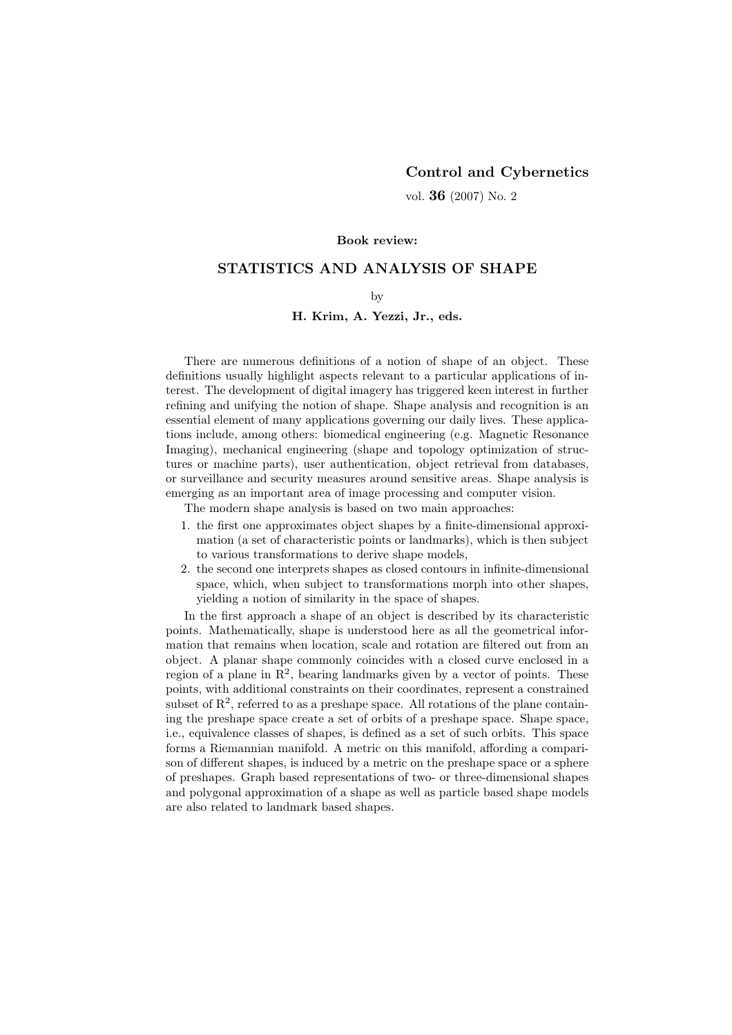## Control and Cybernetics

vol. 36 (2007) No. 2

#### Book review:

# STATISTICS AND ANALYSIS OF SHAPE

### by

#### H. Krim, A. Yezzi, Jr., eds.

There are numerous definitions of a notion of shape of an object. These definitions usually highlight aspects relevant to a particular applications of interest. The development of digital imagery has triggered keen interest in further refining and unifying the notion of shape. Shape analysis and recognition is an essential element of many applications governing our daily lives. These applications include, among others: biomedical engineering (e.g. Magnetic Resonance Imaging), mechanical engineering (shape and topology optimization of structures or machine parts), user authentication, object retrieval from databases, or surveillance and security measures around sensitive areas. Shape analysis is emerging as an important area of image processing and computer vision.

The modern shape analysis is based on two main approaches:

- 1. the first one approximates object shapes by a finite-dimensional approximation (a set of characteristic points or landmarks), which is then subject to various transformations to derive shape models,
- 2. the second one interprets shapes as closed contours in infinite-dimensional space, which, when subject to transformations morph into other shapes, yielding a notion of similarity in the space of shapes.

In the first approach a shape of an object is described by its characteristic points. Mathematically, shape is understood here as all the geometrical information that remains when location, scale and rotation are filtered out from an object. A planar shape commonly coincides with a closed curve enclosed in a region of a plane in  $\mathbb{R}^2$ , bearing landmarks given by a vector of points. These points, with additional constraints on their coordinates, represent a constrained subset of  $\mathbb{R}^2$ , referred to as a preshape space. All rotations of the plane containing the preshape space create a set of orbits of a preshape space. Shape space, i.e., equivalence classes of shapes, is defined as a set of such orbits. This space forms a Riemannian manifold. A metric on this manifold, affording a comparison of different shapes, is induced by a metric on the preshape space or a sphere of preshapes. Graph based representations of two- or three-dimensional shapes and polygonal approximation of a shape as well as particle based shape models are also related to landmark based shapes.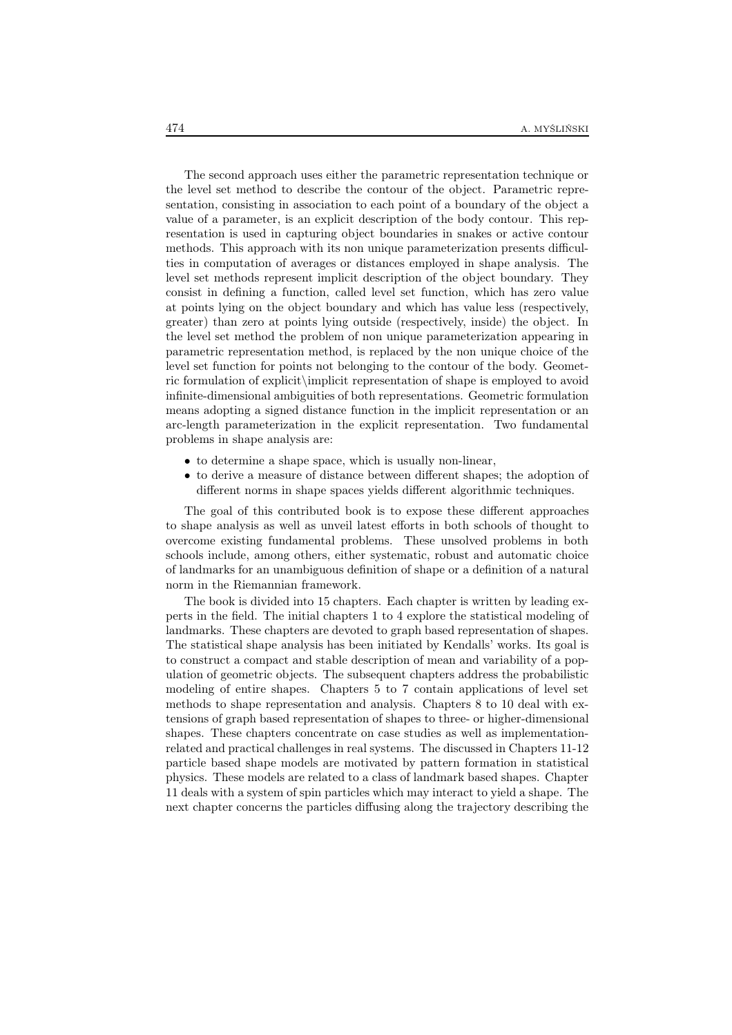The second approach uses either the parametric representation technique or the level set method to describe the contour of the object. Parametric representation, consisting in association to each point of a boundary of the object a value of a parameter, is an explicit description of the body contour. This representation is used in capturing object boundaries in snakes or active contour methods. This approach with its non unique parameterization presents difficulties in computation of averages or distances employed in shape analysis. The level set methods represent implicit description of the object boundary. They consist in defining a function, called level set function, which has zero value at points lying on the object boundary and which has value less (respectively, greater) than zero at points lying outside (respectively, inside) the object. In the level set method the problem of non unique parameterization appearing in parametric representation method, is replaced by the non unique choice of the level set function for points not belonging to the contour of the body. Geometric formulation of explicit\implicit representation of shape is employed to avoid infinite-dimensional ambiguities of both representations. Geometric formulation means adopting a signed distance function in the implicit representation or an arc-length parameterization in the explicit representation. Two fundamental problems in shape analysis are:

- to determine a shape space, which is usually non-linear,
- to derive a measure of distance between different shapes; the adoption of different norms in shape spaces yields different algorithmic techniques.

The goal of this contributed book is to expose these different approaches to shape analysis as well as unveil latest efforts in both schools of thought to overcome existing fundamental problems. These unsolved problems in both schools include, among others, either systematic, robust and automatic choice of landmarks for an unambiguous definition of shape or a definition of a natural norm in the Riemannian framework.

The book is divided into 15 chapters. Each chapter is written by leading experts in the field. The initial chapters 1 to 4 explore the statistical modeling of landmarks. These chapters are devoted to graph based representation of shapes. The statistical shape analysis has been initiated by Kendalls' works. Its goal is to construct a compact and stable description of mean and variability of a population of geometric objects. The subsequent chapters address the probabilistic modeling of entire shapes. Chapters 5 to 7 contain applications of level set methods to shape representation and analysis. Chapters 8 to 10 deal with extensions of graph based representation of shapes to three- or higher-dimensional shapes. These chapters concentrate on case studies as well as implementationrelated and practical challenges in real systems. The discussed in Chapters 11-12 particle based shape models are motivated by pattern formation in statistical physics. These models are related to a class of landmark based shapes. Chapter 11 deals with a system of spin particles which may interact to yield a shape. The next chapter concerns the particles diffusing along the trajectory describing the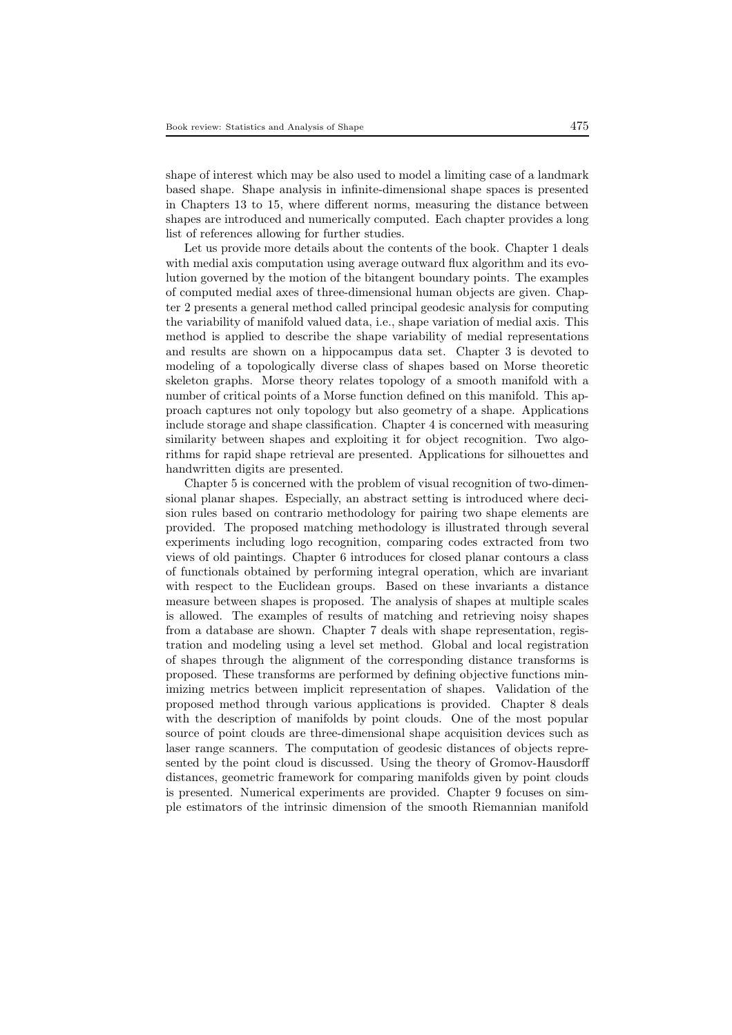shape of interest which may be also used to model a limiting case of a landmark based shape. Shape analysis in infinite-dimensional shape spaces is presented in Chapters 13 to 15, where different norms, measuring the distance between shapes are introduced and numerically computed. Each chapter provides a long list of references allowing for further studies.

Let us provide more details about the contents of the book. Chapter 1 deals with medial axis computation using average outward flux algorithm and its evolution governed by the motion of the bitangent boundary points. The examples of computed medial axes of three-dimensional human objects are given. Chapter 2 presents a general method called principal geodesic analysis for computing the variability of manifold valued data, i.e., shape variation of medial axis. This method is applied to describe the shape variability of medial representations and results are shown on a hippocampus data set. Chapter 3 is devoted to modeling of a topologically diverse class of shapes based on Morse theoretic skeleton graphs. Morse theory relates topology of a smooth manifold with a number of critical points of a Morse function defined on this manifold. This approach captures not only topology but also geometry of a shape. Applications include storage and shape classification. Chapter 4 is concerned with measuring similarity between shapes and exploiting it for object recognition. Two algorithms for rapid shape retrieval are presented. Applications for silhouettes and handwritten digits are presented.

Chapter 5 is concerned with the problem of visual recognition of two-dimensional planar shapes. Especially, an abstract setting is introduced where decision rules based on contrario methodology for pairing two shape elements are provided. The proposed matching methodology is illustrated through several experiments including logo recognition, comparing codes extracted from two views of old paintings. Chapter 6 introduces for closed planar contours a class of functionals obtained by performing integral operation, which are invariant with respect to the Euclidean groups. Based on these invariants a distance measure between shapes is proposed. The analysis of shapes at multiple scales is allowed. The examples of results of matching and retrieving noisy shapes from a database are shown. Chapter 7 deals with shape representation, registration and modeling using a level set method. Global and local registration of shapes through the alignment of the corresponding distance transforms is proposed. These transforms are performed by defining objective functions minimizing metrics between implicit representation of shapes. Validation of the proposed method through various applications is provided. Chapter 8 deals with the description of manifolds by point clouds. One of the most popular source of point clouds are three-dimensional shape acquisition devices such as laser range scanners. The computation of geodesic distances of objects represented by the point cloud is discussed. Using the theory of Gromov-Hausdorff distances, geometric framework for comparing manifolds given by point clouds is presented. Numerical experiments are provided. Chapter 9 focuses on simple estimators of the intrinsic dimension of the smooth Riemannian manifold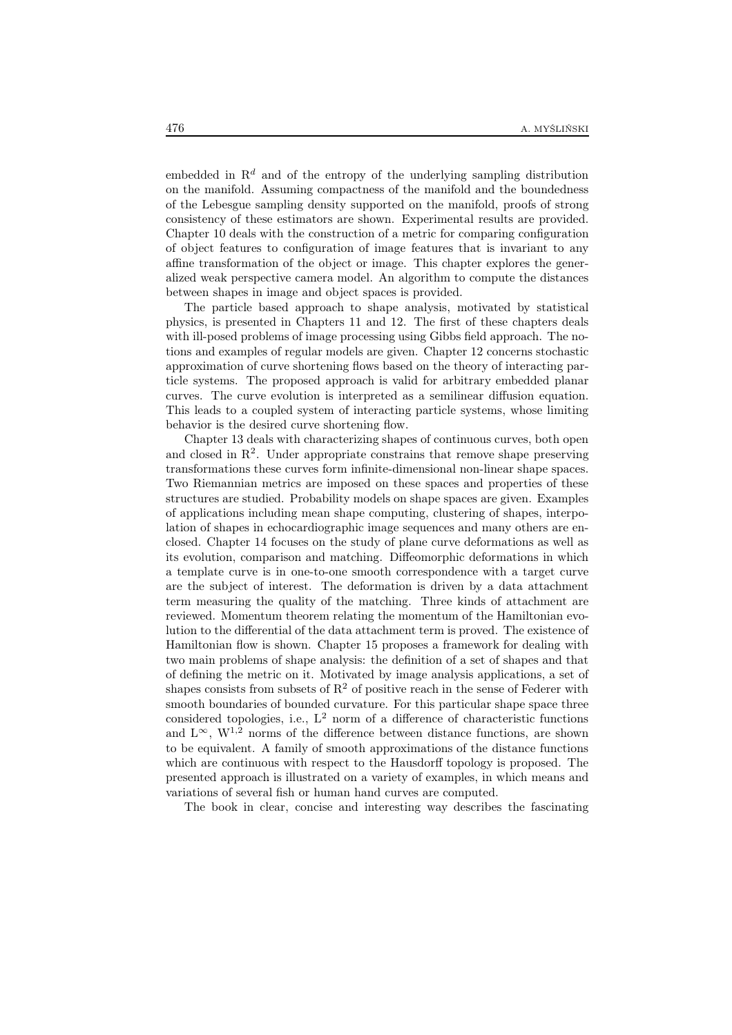embedded in  $\mathbb{R}^d$  and of the entropy of the underlying sampling distribution on the manifold. Assuming compactness of the manifold and the boundedness of the Lebesgue sampling density supported on the manifold, proofs of strong consistency of these estimators are shown. Experimental results are provided. Chapter 10 deals with the construction of a metric for comparing configuration of object features to configuration of image features that is invariant to any affine transformation of the object or image. This chapter explores the generalized weak perspective camera model. An algorithm to compute the distances between shapes in image and object spaces is provided.

The particle based approach to shape analysis, motivated by statistical physics, is presented in Chapters 11 and 12. The first of these chapters deals with ill-posed problems of image processing using Gibbs field approach. The notions and examples of regular models are given. Chapter 12 concerns stochastic approximation of curve shortening flows based on the theory of interacting particle systems. The proposed approach is valid for arbitrary embedded planar curves. The curve evolution is interpreted as a semilinear diffusion equation. This leads to a coupled system of interacting particle systems, whose limiting behavior is the desired curve shortening flow.

Chapter 13 deals with characterizing shapes of continuous curves, both open and closed in  $\mathbb{R}^2$ . Under appropriate constrains that remove shape preserving transformations these curves form infinite-dimensional non-linear shape spaces. Two Riemannian metrics are imposed on these spaces and properties of these structures are studied. Probability models on shape spaces are given. Examples of applications including mean shape computing, clustering of shapes, interpolation of shapes in echocardiographic image sequences and many others are enclosed. Chapter 14 focuses on the study of plane curve deformations as well as its evolution, comparison and matching. Diffeomorphic deformations in which a template curve is in one-to-one smooth correspondence with a target curve are the subject of interest. The deformation is driven by a data attachment term measuring the quality of the matching. Three kinds of attachment are reviewed. Momentum theorem relating the momentum of the Hamiltonian evolution to the differential of the data attachment term is proved. The existence of Hamiltonian flow is shown. Chapter 15 proposes a framework for dealing with two main problems of shape analysis: the definition of a set of shapes and that of defining the metric on it. Motivated by image analysis applications, a set of shapes consists from subsets of  $R^2$  of positive reach in the sense of Federer with smooth boundaries of bounded curvature. For this particular shape space three considered topologies, i.e.,  $L^2$  norm of a difference of characteristic functions and  $L^{\infty}$ ,  $W^{1,2}$  norms of the difference between distance functions, are shown to be equivalent. A family of smooth approximations of the distance functions which are continuous with respect to the Hausdorff topology is proposed. The presented approach is illustrated on a variety of examples, in which means and variations of several fish or human hand curves are computed.

The book in clear, concise and interesting way describes the fascinating